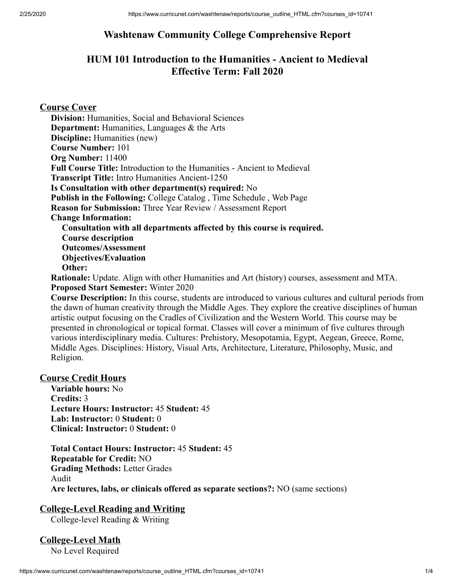# **Washtenaw Community College Comprehensive Report**

# **HUM 101 Introduction to the Humanities - Ancient to Medieval Effective Term: Fall 2020**

## **Course Cover**

**Division:** Humanities, Social and Behavioral Sciences **Department:** Humanities, Languages & the Arts **Discipline:** Humanities (new) **Course Number:** 101 **Org Number:** 11400 **Full Course Title:** Introduction to the Humanities - Ancient to Medieval **Transcript Title:** Intro Humanities Ancient-1250 **Is Consultation with other department(s) required:** No **Publish in the Following:** College Catalog , Time Schedule , Web Page **Reason for Submission:** Three Year Review / Assessment Report **Change Information: Consultation with all departments affected by this course is required. Course description Outcomes/Assessment Objectives/Evaluation Other: Rationale:** Update. Align with other Humanities and Art (history) courses, assessment and MTA.

**Proposed Start Semester:** Winter 2020

**Course Description:** In this course, students are introduced to various cultures and cultural periods from the dawn of human creativity through the Middle Ages. They explore the creative disciplines of human artistic output focusing on the Cradles of Civilization and the Western World. This course may be presented in chronological or topical format. Classes will cover a minimum of five cultures through various interdisciplinary media. Cultures: Prehistory, Mesopotamia, Egypt, Aegean, Greece, Rome, Middle Ages. Disciplines: History, Visual Arts, Architecture, Literature, Philosophy, Music, and Religion.

### **Course Credit Hours**

**Variable hours:** No **Credits:** 3 **Lecture Hours: Instructor:** 45 **Student:** 45 **Lab: Instructor:** 0 **Student:** 0 **Clinical: Instructor:** 0 **Student:** 0

**Total Contact Hours: Instructor:** 45 **Student:** 45 **Repeatable for Credit:** NO **Grading Methods:** Letter Grades Audit **Are lectures, labs, or clinicals offered as separate sections?:** NO (same sections)

### **College-Level Reading and Writing**

College-level Reading & Writing

# **College-Level Math**

No Level Required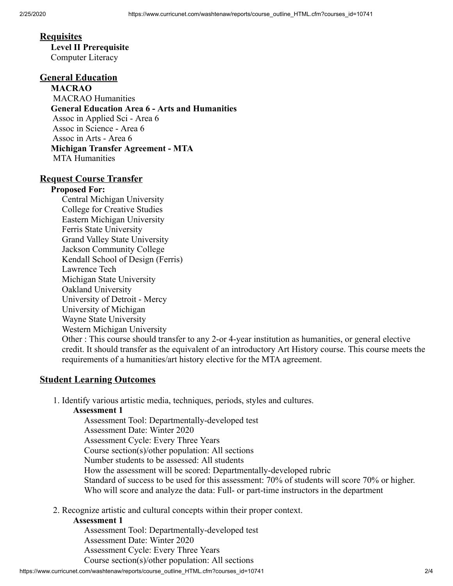## **Requisites**

**Level II Prerequisite** Computer Literacy

# **General Education**

**MACRAO** MACRAO Humanities **General Education Area 6 - Arts and Humanities** Assoc in Applied Sci - Area 6 Assoc in Science - Area 6 Assoc in Arts - Area 6 **Michigan Transfer Agreement - MTA** MTA Humanities

#### **Request Course Transfer**

#### **Proposed For:**

Central Michigan University College for Creative Studies Eastern Michigan University Ferris State University Grand Valley State University Jackson Community College Kendall School of Design (Ferris) Lawrence Tech Michigan State University Oakland University University of Detroit - Mercy University of Michigan Wayne State University Western Michigan University Other : This course should transfer to any 2-or 4-year institution as humanities, or general elective credit. It should transfer as the equivalent of an introductory Art History course. This course meets the requirements of a humanities/art history elective for the MTA agreement.

### **Student Learning Outcomes**

1. Identify various artistic media, techniques, periods, styles and cultures.

#### **Assessment 1**

Assessment Tool: Departmentally-developed test Assessment Date: Winter 2020 Assessment Cycle: Every Three Years Course section(s)/other population: All sections Number students to be assessed: All students How the assessment will be scored: Departmentally-developed rubric Standard of success to be used for this assessment: 70% of students will score 70% or higher. Who will score and analyze the data: Full- or part-time instructors in the department

2. Recognize artistic and cultural concepts within their proper context.

#### **Assessment 1**

Assessment Tool: Departmentally-developed test Assessment Date: Winter 2020 Assessment Cycle: Every Three Years Course section(s)/other population: All sections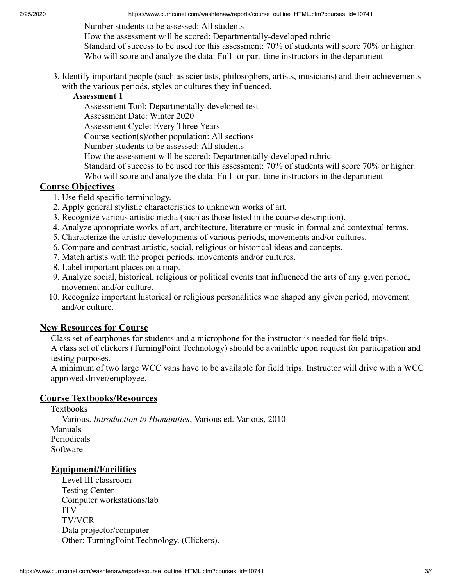Number students to be assessed: All students

How the assessment will be scored: Departmentally-developed rubric

Standard of success to be used for this assessment: 70% of students will score 70% or higher. Who will score and analyze the data: Full- or part-time instructors in the department

3. Identify important people (such as scientists, philosophers, artists, musicians) and their achievements with the various periods, styles or cultures they influenced.

#### **Assessment 1**

Assessment Tool: Departmentally-developed test

Assessment Date: Winter 2020

Assessment Cycle: Every Three Years

Course section(s)/other population: All sections

Number students to be assessed: All students

How the assessment will be scored: Departmentally-developed rubric

Standard of success to be used for this assessment: 70% of students will score 70% or higher.

Who will score and analyze the data: Full- or part-time instructors in the department

#### **Course Objectives**

- 1. Use field specific terminology.
- 2. Apply general stylistic characteristics to unknown works of art.
- 3. Recognize various artistic media (such as those listed in the course description).
- 4. Analyze appropriate works of art, architecture, literature or music in formal and contextual terms.
- 5. Characterize the artistic developments of various periods, movements and/or cultures.
- 6. Compare and contrast artistic, social, religious or historical ideas and concepts.
- 7. Match artists with the proper periods, movements and/or cultures.
- 8. Label important places on a map.
- 9. Analyze social, historical, religious or political events that influenced the arts of any given period, movement and/or culture.
- 10. Recognize important historical or religious personalities who shaped any given period, movement and/or culture.

#### **New Resources for Course**

Class set of earphones for students and a microphone for the instructor is needed for field trips. A class set of clickers (TurningPoint Technology) should be available upon request for participation and testing purposes.

A minimum of two large WCC vans have to be available for field trips. Instructor will drive with a WCC approved driver/employee.

#### **Course Textbooks/Resources**

Textbooks Various. *Introduction to Humanities*, Various ed. Various, 2010 Manuals Periodicals Software

## **Equipment/Facilities**

Level III classroom Testing Center Computer workstations/lab ITV TV/VCR Data projector/computer Other: TurningPoint Technology. (Clickers).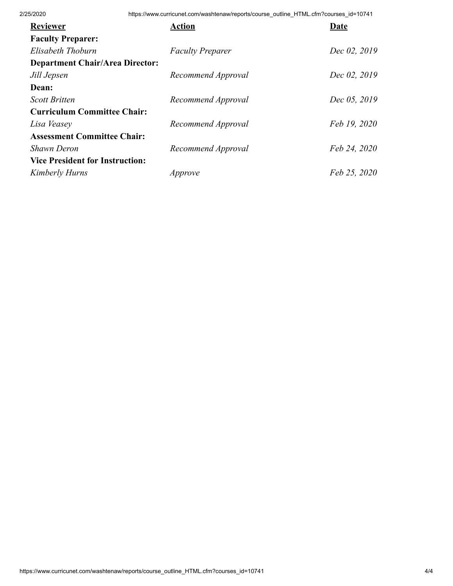2/25/2020 https://www.curricunet.com/washtenaw/reports/course\_outline\_HTML.cfm?courses\_id=10741

| <b>Reviewer</b>                        | <b>Action</b>           | Date         |
|----------------------------------------|-------------------------|--------------|
| <b>Faculty Preparer:</b>               |                         |              |
| Elisabeth Thoburn                      | <b>Faculty Preparer</b> | Dec 02, 2019 |
| <b>Department Chair/Area Director:</b> |                         |              |
| Jill Jepsen                            | Recommend Approval      | Dec 02, 2019 |
| Dean:                                  |                         |              |
| <b>Scott Britten</b>                   | Recommend Approval      | Dec 05, 2019 |
| <b>Curriculum Committee Chair:</b>     |                         |              |
| Lisa Veasey                            | Recommend Approval      | Feb 19, 2020 |
| <b>Assessment Committee Chair:</b>     |                         |              |
| <b>Shawn Deron</b>                     | Recommend Approval      | Feb 24, 2020 |
| <b>Vice President for Instruction:</b> |                         |              |
| Kimberly Hurns                         | Approve                 | Feb 25, 2020 |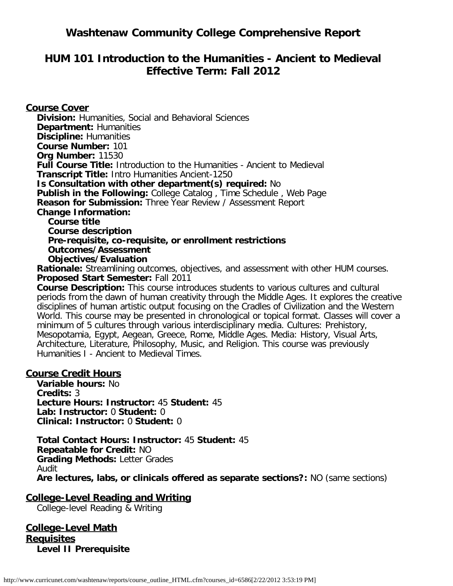# **Washtenaw Community College Comprehensive Report**

# **HUM 101 Introduction to the Humanities - Ancient to Medieval Effective Term: Fall 2012**

## **Course Cover**

**Division:** Humanities, Social and Behavioral Sciences **Department:** Humanities **Discipline:** Humanities **Course Number:** 101 **Org Number:** 11530 **Full Course Title:** Introduction to the Humanities - Ancient to Medieval **Transcript Title:** Intro Humanities Ancient-1250 **Is Consultation with other department(s) required:** No **Publish in the Following:** College Catalog , Time Schedule , Web Page **Reason for Submission:** Three Year Review / Assessment Report **Change Information: Course title Course description Pre-requisite, co-requisite, or enrollment restrictions Outcomes/Assessment**

**Objectives/Evaluation**

**Rationale:** Streamlining outcomes, objectives, and assessment with other HUM courses. **Proposed Start Semester:** Fall 2011

**Course Description:** This course introduces students to various cultures and cultural periods from the dawn of human creativity through the Middle Ages. It explores the creative disciplines of human artistic output focusing on the Cradles of Civilization and the Western World. This course may be presented in chronological or topical format. Classes will cover a minimum of 5 cultures through various interdisciplinary media. Cultures: Prehistory, Mesopotamia, Egypt, Aegean, Greece, Rome, Middle Ages. Media: History, Visual Arts, Architecture, Literature, Philosophy, Music, and Religion. This course was previously Humanities I - Ancient to Medieval Times.

### **Course Credit Hours**

**Variable hours:** No **Credits:** 3 **Lecture Hours: Instructor:** 45 **Student:** 45 **Lab: Instructor:** 0 **Student:** 0 **Clinical: Instructor:** 0 **Student:** 0

**Total Contact Hours: Instructor:** 45 **Student:** 45 **Repeatable for Credit:** NO **Grading Methods:** Letter Grades Audit **Are lectures, labs, or clinicals offered as separate sections?:** NO (same sections)

**College-Level Reading and Writing**

College-level Reading & Writing

**College-Level Math Requisites Level II Prerequisite**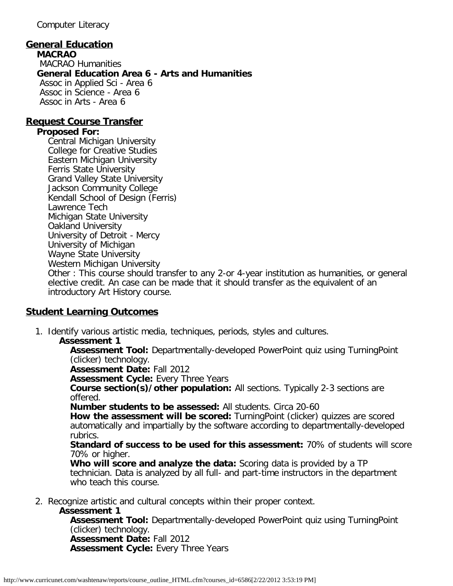Computer Literacy

## **General Education**

**MACRAO** MACRAO Humanities **General Education Area 6 - Arts and Humanities** Assoc in Applied Sci - Area 6 Assoc in Science - Area 6 Assoc in Arts - Area 6

### **Request Course Transfer**

### **Proposed For:**

Central Michigan University College for Creative Studies Eastern Michigan University Ferris State University Grand Valley State University Jackson Community College Kendall School of Design (Ferris) Lawrence Tech Michigan State University Oakland University University of Detroit - Mercy University of Michigan Wayne State University Western Michigan University Other : This course should transfer to any 2-or 4-year institution as humanities, or general elective credit. An case can be made that it should transfer as the equivalent of an introductory Art History course.

## **Student Learning Outcomes**

- 1. Identify various artistic media, techniques, periods, styles and cultures.
	- **Assessment 1**

**Assessment Tool:** Departmentally-developed PowerPoint quiz using TurningPoint (clicker) technology.

**Assessment Date:** Fall 2012

**Assessment Cycle:** Every Three Years

**Course section(s)/other population:** All sections. Typically 2-3 sections are offered.

**Number students to be assessed:** All students. Circa 20-60

**How the assessment will be scored:** TurningPoint (clicker) quizzes are scored automatically and impartially by the software according to departmentally-developed rubrics.

**Standard of success to be used for this assessment:** 70% of students will score 70% or higher.

**Who will score and analyze the data:** Scoring data is provided by a TP technician. Data is analyzed by all full- and part-time instructors in the department who teach this course.

2. Recognize artistic and cultural concepts within their proper context.

#### **Assessment 1**

**Assessment Tool:** Departmentally-developed PowerPoint quiz using TurningPoint (clicker) technology. **Assessment Date:** Fall 2012 **Assessment Cycle:** Every Three Years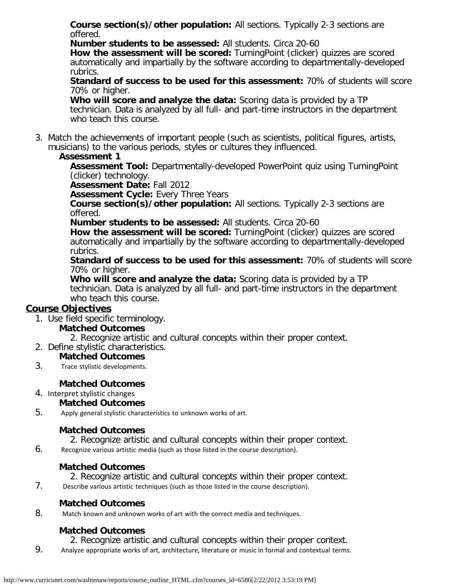**Course section(s)/other population:** All sections. Typically 2-3 sections are offered.

**Number students to be assessed:** All students. Circa 20-60

**How the assessment will be scored:** TurningPoint (clicker) quizzes are scored automatically and impartially by the software according to departmentally-developed rubrics.

**Standard of success to be used for this assessment:** 70% of students will score 70% or higher.

**Who will score and analyze the data:** Scoring data is provided by a TP technician. Data is analyzed by all full- and part-time instructors in the department who teach this course.

3. Match the achievements of important people (such as scientists, political figures, artists, musicians) to the various periods, styles or cultures they influenced.

### **Assessment 1**

**Assessment Tool:** Departmentally-developed PowerPoint quiz using TurningPoint (clicker) technology.

**Assessment Date:** Fall 2012

**Assessment Cycle: Every Three Years** 

**Course section(s)/other population:** All sections. Typically 2-3 sections are offered.

**Number students to be assessed:** All students. Circa 20-60

**How the assessment will be scored:** TurningPoint (clicker) quizzes are scored automatically and impartially by the software according to departmentally-developed rubrics.

**Standard of success to be used for this assessment:** 70% of students will score 70% or higher.

**Who will score and analyze the data:** Scoring data is provided by a TP technician. Data is analyzed by all full- and part-time instructors in the department who teach this course.

## **Course Objectives**

1. Use field specific terminology.

## **Matched Outcomes**

2. Recognize artistic and cultural concepts within their proper context.

2. Define stylistic characteristics.

## **Matched Outcomes**

3. Trace stylistic developments.

## **Matched Outcomes**

4. Interpret stylistic changes

## **Matched Outcomes**

5. Apply general stylistic characteristics to unknown works of art.

## **Matched Outcomes**

2. Recognize artistic and cultural concepts within their proper context.

6. Recognize various artistic media (such as those listed in the course description).

## **Matched Outcomes**

2. Recognize artistic and cultural concepts within their proper context.

7. Describe various artistic techniques (such as those listed in the course description).

## **Matched Outcomes**

8. Match known and unknown works of art with the correct media and techniques.

# **Matched Outcomes**

2. Recognize artistic and cultural concepts within their proper context.

9. Analyze appropriate works of art, architecture, literature or music in formal and contextual terms.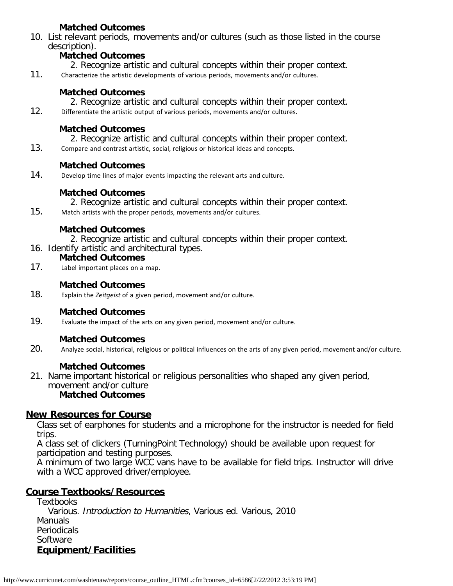## **Matched Outcomes**

10. List relevant periods, movements and/or cultures (such as those listed in the course description).

## **Matched Outcomes**

- 2. Recognize artistic and cultural concepts within their proper context.
- 11. Characterize the artistic developments of various periods, movements and/or cultures.

## **Matched Outcomes**

- 2. Recognize artistic and cultural concepts within their proper context.
- 12. Differentiate the artistic output of various periods, movements and/or cultures.

## **Matched Outcomes**

2. Recognize artistic and cultural concepts within their proper context.

13. Compare and contrast artistic, social, religious or historical ideas and concepts.

## **Matched Outcomes**

14. Develop time lines of major events impacting the relevant arts and culture.

## **Matched Outcomes**

- 2. Recognize artistic and cultural concepts within their proper context.
- 15. Match artists with the proper periods, movements and/or cultures.

### **Matched Outcomes**

- 2. Recognize artistic and cultural concepts within their proper context.
- 16. Identify artistic and architectural types.

### **Matched Outcomes**

17. Label important places on a map.

## **Matched Outcomes**

18. Explain the *Zeitgeist* of a given period, movement and/or culture.

## **Matched Outcomes**

19. Evaluate the impact of the arts on any given period, movement and/or culture.

## **Matched Outcomes**

20. Analyze social, historical, religious or political influences on the arts of any given period, movement and/or culture.

### **Matched Outcomes**

21. Name important historical or religious personalities who shaped any given period, movement and/or culture **Matched Outcomes**

### **New Resources for Course**

Class set of earphones for students and a microphone for the instructor is needed for field trips.

A class set of clickers (TurningPoint Technology) should be available upon request for participation and testing purposes.

A minimum of two large WCC vans have to be available for field trips. Instructor will drive with a WCC approved driver/employee.

## **Course Textbooks/Resources**

**Textbooks** Various. Introduction to Humanities, Various ed. Various, 2010 Manuals Periodicals Software **Equipment/Facilities**